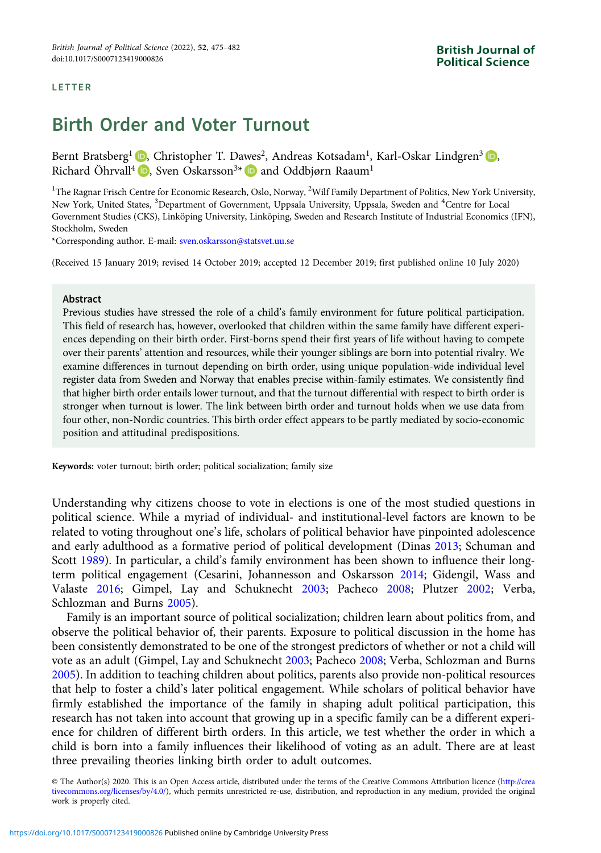#### LETTER

# Birth Order and Voter Turnout

Bernt Bratsberg<sup>1</sup> **D**, Christopher T. Dawes<sup>2</sup>, Andreas Kotsadam<sup>1</sup>, Karl-Oskar Lindgren<sup>3</sup> **D**, Richard Öhrvall<sup>4</sup>  $\bullet$ [,](https://orcid.org/0000-0002-0806-5664) Sven Oskarsson<sup>3\*</sup>  $\bullet$  and Oddbiørn Raaum<sup>1</sup>

<sup>1</sup>The Ragnar Frisch Centre for Economic Research, Oslo, Norway, <sup>2</sup>Wilf Family Department of Politics, New York University, New York, United States, <sup>3</sup>Department of Government, Uppsala University, Uppsala, Sweden and <sup>4</sup>Centre for Local Government Studies (CKS), Linköping University, Linköping, Sweden and Research Institute of Industrial Economics (IFN), Stockholm, Sweden

\*Corresponding author. E-mail: [sven.oskarsson@statsvet.uu.se](mailto:sven.oskarsson@statsvet.uu.se)

(Received 15 January 2019; revised 14 October 2019; accepted 12 December 2019; first published online 10 July 2020)

#### Abstract

Previous studies have stressed the role of a child's family environment for future political participation. This field of research has, however, overlooked that children within the same family have different experiences depending on their birth order. First-borns spend their first years of life without having to compete over their parents' attention and resources, while their younger siblings are born into potential rivalry. We examine differences in turnout depending on birth order, using unique population-wide individual level register data from Sweden and Norway that enables precise within-family estimates. We consistently find that higher birth order entails lower turnout, and that the turnout differential with respect to birth order is stronger when turnout is lower. The link between birth order and turnout holds when we use data from four other, non-Nordic countries. This birth order effect appears to be partly mediated by socio-economic position and attitudinal predispositions.

Keywords: voter turnout; birth order; political socialization; family size

Understanding why citizens choose to vote in elections is one of the most studied questions in political science. While a myriad of individual- and institutional-level factors are known to be related to voting throughout one's life, scholars of political behavior have pinpointed adolescence and early adulthood as a formative period of political development (Dinas [2013;](#page-7-0) Schuman and Scott [1989\)](#page-7-0). In particular, a child's family environment has been shown to influence their longterm political engagement (Cesarini, Johannesson and Oskarsson [2014](#page-7-0); Gidengil, Wass and Valaste [2016;](#page-7-0) Gimpel, Lay and Schuknecht [2003](#page-7-0); Pacheco [2008](#page-7-0); Plutzer [2002;](#page-7-0) Verba, Schlozman and Burns [2005](#page-7-0)).

Family is an important source of political socialization; children learn about politics from, and observe the political behavior of, their parents. Exposure to political discussion in the home has been consistently demonstrated to be one of the strongest predictors of whether or not a child will vote as an adult (Gimpel, Lay and Schuknecht [2003](#page-7-0); Pacheco [2008;](#page-7-0) Verba, Schlozman and Burns [2005](#page-7-0)). In addition to teaching children about politics, parents also provide non-political resources that help to foster a child's later political engagement. While scholars of political behavior have firmly established the importance of the family in shaping adult political participation, this research has not taken into account that growing up in a specific family can be a different experience for children of different birth orders. In this article, we test whether the order in which a child is born into a family influences their likelihood of voting as an adult. There are at least three prevailing theories linking birth order to adult outcomes.

© The Author(s) 2020. This is an Open Access article, distributed under the terms of the Creative Commons Attribution licence [\(http://crea](http://creativecommons.org/licenses/by/4.0/) [tivecommons.org/licenses/by/4.0/](http://creativecommons.org/licenses/by/4.0/)), which permits unrestricted re-use, distribution, and reproduction in any medium, provided the original work is properly cited.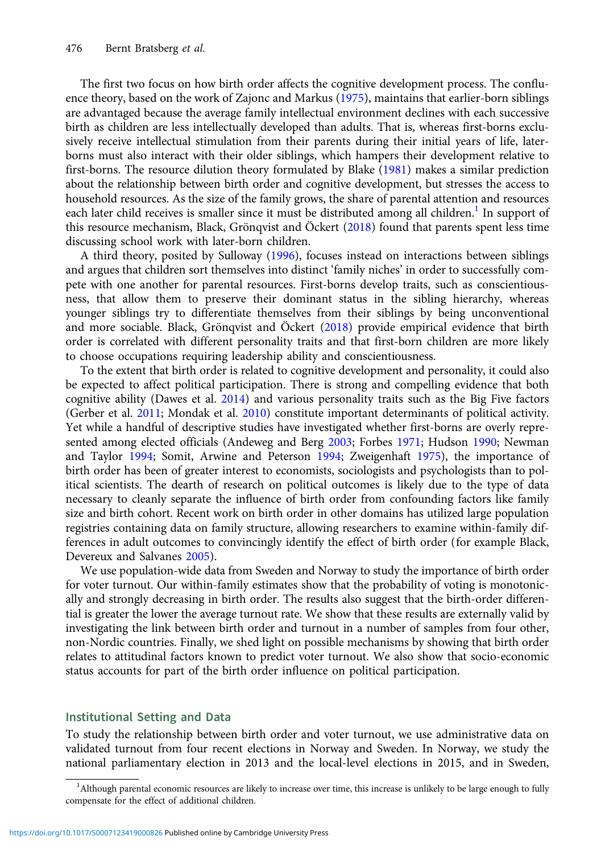The first two focus on how birth order affects the cognitive development process. The confluence theory, based on the work of Zajonc and Markus [\(1975\)](#page-7-0), maintains that earlier-born siblings are advantaged because the average family intellectual environment declines with each successive birth as children are less intellectually developed than adults. That is, whereas first-borns exclusively receive intellectual stimulation from their parents during their initial years of life, laterborns must also interact with their older siblings, which hampers their development relative to first-borns. The resource dilution theory formulated by Blake [\(1981](#page-7-0)) makes a similar prediction about the relationship between birth order and cognitive development, but stresses the access to household resources. As the size of the family grows, the share of parental attention and resources each later child receives is smaller since it must be distributed among all children.<sup>1</sup> In support of this resource mechanism, Black, Grönqvist and Öckert [\(2018\)](#page-7-0) found that parents spent less time discussing school work with later-born children.

A third theory, posited by Sulloway [\(1996\)](#page-7-0), focuses instead on interactions between siblings and argues that children sort themselves into distinct 'family niches' in order to successfully compete with one another for parental resources. First-borns develop traits, such as conscientiousness, that allow them to preserve their dominant status in the sibling hierarchy, whereas younger siblings try to differentiate themselves from their siblings by being unconventional and more sociable. Black, Grönqvist and Öckert [\(2018](#page-7-0)) provide empirical evidence that birth order is correlated with different personality traits and that first-born children are more likely to choose occupations requiring leadership ability and conscientiousness.

To the extent that birth order is related to cognitive development and personality, it could also be expected to affect political participation. There is strong and compelling evidence that both cognitive ability (Dawes et al. [2014](#page-7-0)) and various personality traits such as the Big Five factors (Gerber et al. [2011](#page-7-0); Mondak et al. [2010\)](#page-7-0) constitute important determinants of political activity. Yet while a handful of descriptive studies have investigated whether first-borns are overly represented among elected officials (Andeweg and Berg [2003](#page-7-0); Forbes [1971](#page-7-0); Hudson [1990;](#page-7-0) Newman and Taylor [1994](#page-7-0); Somit, Arwine and Peterson [1994;](#page-7-0) Zweigenhaft [1975\)](#page-7-0), the importance of birth order has been of greater interest to economists, sociologists and psychologists than to political scientists. The dearth of research on political outcomes is likely due to the type of data necessary to cleanly separate the influence of birth order from confounding factors like family size and birth cohort. Recent work on birth order in other domains has utilized large population registries containing data on family structure, allowing researchers to examine within-family differences in adult outcomes to convincingly identify the effect of birth order (for example Black, Devereux and Salvanes [2005](#page-7-0)).

We use population-wide data from Sweden and Norway to study the importance of birth order for voter turnout. Our within-family estimates show that the probability of voting is monotonically and strongly decreasing in birth order. The results also suggest that the birth-order differential is greater the lower the average turnout rate. We show that these results are externally valid by investigating the link between birth order and turnout in a number of samples from four other, non-Nordic countries. Finally, we shed light on possible mechanisms by showing that birth order relates to attitudinal factors known to predict voter turnout. We also show that socio-economic status accounts for part of the birth order influence on political participation.

# Institutional Setting and Data

To study the relationship between birth order and voter turnout, we use administrative data on validated turnout from four recent elections in Norway and Sweden. In Norway, we study the national parliamentary election in 2013 and the local-level elections in 2015, and in Sweden,

<sup>&</sup>lt;sup>1</sup>Although parental economic resources are likely to increase over time, this increase is unlikely to be large enough to fully compensate for the effect of additional children.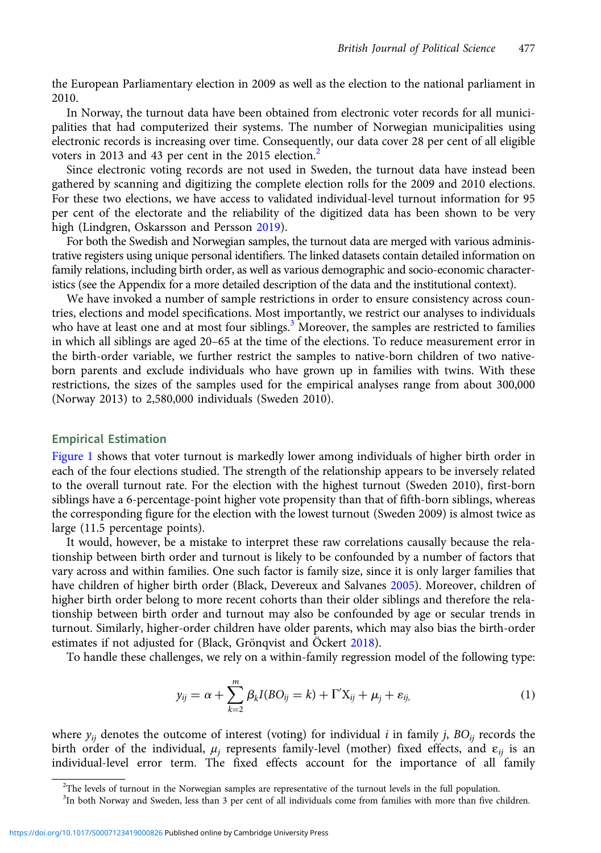the European Parliamentary election in 2009 as well as the election to the national parliament in 2010.

In Norway, the turnout data have been obtained from electronic voter records for all municipalities that had computerized their systems. The number of Norwegian municipalities using electronic records is increasing over time. Consequently, our data cover 28 per cent of all eligible voters in 2013 and 43 per cent in the 2015 election.<sup>2</sup>

Since electronic voting records are not used in Sweden, the turnout data have instead been gathered by scanning and digitizing the complete election rolls for the 2009 and 2010 elections. For these two elections, we have access to validated individual-level turnout information for 95 per cent of the electorate and the reliability of the digitized data has been shown to be very high (Lindgren, Oskarsson and Persson [2019](#page-7-0)).

For both the Swedish and Norwegian samples, the turnout data are merged with various administrative registers using unique personal identifiers. The linked datasets contain detailed information on family relations, including birth order, as well as various demographic and socio-economic characteristics (see the Appendix for a more detailed description of the data and the institutional context).

We have invoked a number of sample restrictions in order to ensure consistency across countries, elections and model specifications. Most importantly, we restrict our analyses to individuals who have at least one and at most four siblings.<sup>3</sup> Moreover, the samples are restricted to families in which all siblings are aged 20–65 at the time of the elections. To reduce measurement error in the birth-order variable, we further restrict the samples to native-born children of two nativeborn parents and exclude individuals who have grown up in families with twins. With these restrictions, the sizes of the samples used for the empirical analyses range from about 300,000 (Norway 2013) to 2,580,000 individuals (Sweden 2010).

## Empirical Estimation

[Figure 1](#page-3-0) shows that voter turnout is markedly lower among individuals of higher birth order in each of the four elections studied. The strength of the relationship appears to be inversely related to the overall turnout rate. For the election with the highest turnout (Sweden 2010), first-born siblings have a 6-percentage-point higher vote propensity than that of fifth-born siblings, whereas the corresponding figure for the election with the lowest turnout (Sweden 2009) is almost twice as large (11.5 percentage points).

It would, however, be a mistake to interpret these raw correlations causally because the relationship between birth order and turnout is likely to be confounded by a number of factors that vary across and within families. One such factor is family size, since it is only larger families that have children of higher birth order (Black, Devereux and Salvanes [2005](#page-7-0)). Moreover, children of higher birth order belong to more recent cohorts than their older siblings and therefore the relationship between birth order and turnout may also be confounded by age or secular trends in turnout. Similarly, higher-order children have older parents, which may also bias the birth-order estimates if not adjusted for (Black, Grönqvist and Öckert [2018](#page-7-0)).

To handle these challenges, we rely on a within-family regression model of the following type:

$$
y_{ij} = \alpha + \sum_{k=2}^{m} \beta_k I(BO_{ij} = k) + \Gamma' X_{ij} + \mu_j + \varepsilon_{ij}, \qquad (1)
$$

where  $y_{ij}$  denotes the outcome of interest (voting) for individual i in family j,  $BO_{ij}$  records the birth order of the individual,  $\mu_j$  represents family-level (mother) fixed effects, and  $\varepsilon_{ij}$  is an individual-level error term. The fixed effects account for the importance of all family

 $2$ The levels of turnout in the Norwegian samples are representative of the turnout levels in the full population.

<sup>&</sup>lt;sup>3</sup>In both Norway and Sweden, less than 3 per cent of all individuals come from families with more than five children.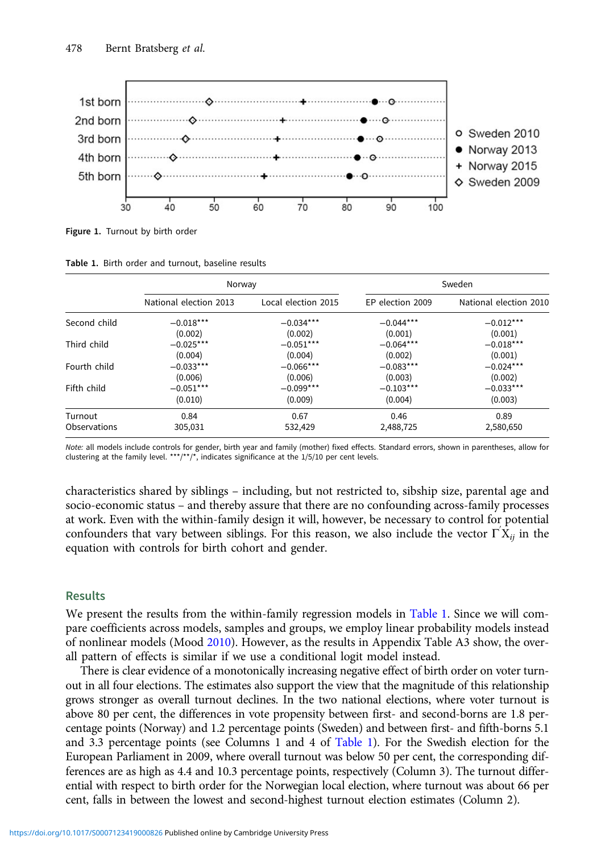<span id="page-3-0"></span>

Figure 1. Turnout by birth order

| Table 1. Birth order and turnout, baseline results |  |  |  |  |  |  |
|----------------------------------------------------|--|--|--|--|--|--|
|----------------------------------------------------|--|--|--|--|--|--|

|              | Norway                 |                     | Sweden           |                        |  |
|--------------|------------------------|---------------------|------------------|------------------------|--|
|              | National election 2013 | Local election 2015 | EP election 2009 | National election 2010 |  |
| Second child | $-0.018***$            | $-0.034***$         | $-0.044***$      | $-0.012***$            |  |
|              | (0.002)                | (0.002)             | (0.001)          | (0.001)                |  |
| Third child  | $-0.025***$            | $-0.051***$         | $-0.064***$      | $-0.018***$            |  |
|              | (0.004)                | (0.004)             | (0.002)          | (0.001)                |  |
| Fourth child | $-0.033***$            | $-0.066***$         | $-0.083***$      | $-0.024***$            |  |
|              | (0.006)                | (0.006)             | (0.003)          | (0.002)                |  |
| Fifth child  | $-0.051***$            | $-0.099***$         | $-0.103***$      | $-0.033***$            |  |
|              | (0.010)                | (0.009)             | (0.004)          | (0.003)                |  |
| Turnout      | 0.84                   | 0.67                | 0.46             | 0.89                   |  |
| Observations | 305,031                | 532,429             | 2,488,725        | 2,580,650              |  |

Note: all models include controls for gender, birth year and family (mother) fixed effects. Standard errors, shown in parentheses, allow for clustering at the family level. \*\*\*/\*\*/\*, indicates significance at the  $1/5/10$  per cent levels.

characteristics shared by siblings – including, but not restricted to, sibship size, parental age and socio-economic status – and thereby assure that there are no confounding across-family processes at work. Even with the within-family design it will, however, be necessary to control for potential confounders that vary between siblings. For this reason, we also include the vector  $\Gamma' X_{ij}$  in the equation with controls for birth cohort and gender.

## Results

We present the results from the within-family regression models in Table 1. Since we will compare coefficients across models, samples and groups, we employ linear probability models instead of nonlinear models (Mood [2010\)](#page-7-0). However, as the results in Appendix Table A3 show, the overall pattern of effects is similar if we use a conditional logit model instead.

There is clear evidence of a monotonically increasing negative effect of birth order on voter turnout in all four elections. The estimates also support the view that the magnitude of this relationship grows stronger as overall turnout declines. In the two national elections, where voter turnout is above 80 per cent, the differences in vote propensity between first- and second-borns are 1.8 percentage points (Norway) and 1.2 percentage points (Sweden) and between first- and fifth-borns 5.1 and 3.3 percentage points (see Columns 1 and 4 of Table 1). For the Swedish election for the European Parliament in 2009, where overall turnout was below 50 per cent, the corresponding differences are as high as 4.4 and 10.3 percentage points, respectively (Column 3). The turnout differential with respect to birth order for the Norwegian local election, where turnout was about 66 per cent, falls in between the lowest and second-highest turnout election estimates (Column 2).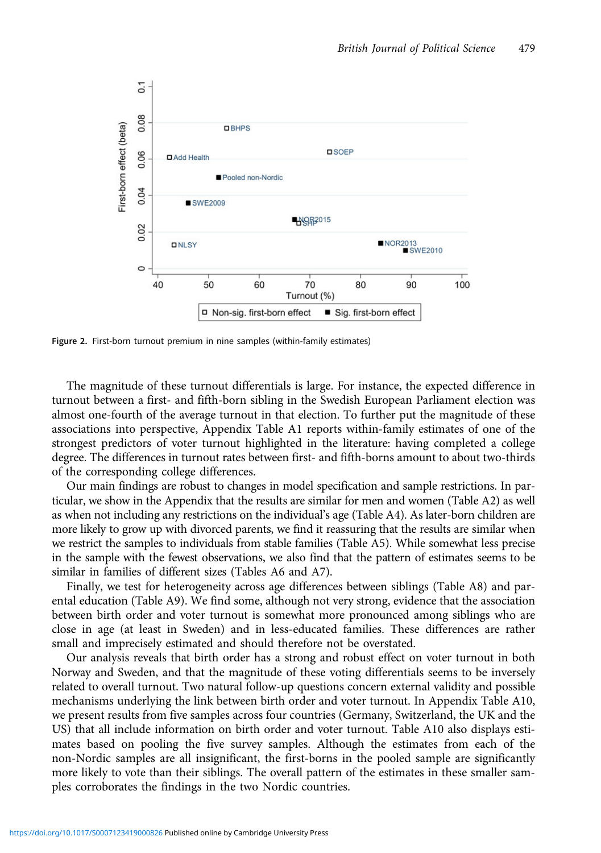<span id="page-4-0"></span>

Figure 2. First-born turnout premium in nine samples (within-family estimates)

The magnitude of these turnout differentials is large. For instance, the expected difference in turnout between a first- and fifth-born sibling in the Swedish European Parliament election was almost one-fourth of the average turnout in that election. To further put the magnitude of these associations into perspective, Appendix Table A1 reports within-family estimates of one of the strongest predictors of voter turnout highlighted in the literature: having completed a college degree. The differences in turnout rates between first- and fifth-borns amount to about two-thirds of the corresponding college differences.

Our main findings are robust to changes in model specification and sample restrictions. In particular, we show in the Appendix that the results are similar for men and women (Table A2) as well as when not including any restrictions on the individual's age (Table A4). As later-born children are more likely to grow up with divorced parents, we find it reassuring that the results are similar when we restrict the samples to individuals from stable families (Table A5). While somewhat less precise in the sample with the fewest observations, we also find that the pattern of estimates seems to be similar in families of different sizes (Tables A6 and A7).

Finally, we test for heterogeneity across age differences between siblings (Table A8) and parental education (Table A9). We find some, although not very strong, evidence that the association between birth order and voter turnout is somewhat more pronounced among siblings who are close in age (at least in Sweden) and in less-educated families. These differences are rather small and imprecisely estimated and should therefore not be overstated.

Our analysis reveals that birth order has a strong and robust effect on voter turnout in both Norway and Sweden, and that the magnitude of these voting differentials seems to be inversely related to overall turnout. Two natural follow-up questions concern external validity and possible mechanisms underlying the link between birth order and voter turnout. In Appendix Table A10, we present results from five samples across four countries (Germany, Switzerland, the UK and the US) that all include information on birth order and voter turnout. Table A10 also displays estimates based on pooling the five survey samples. Although the estimates from each of the non-Nordic samples are all insignificant, the first-borns in the pooled sample are significantly more likely to vote than their siblings. The overall pattern of the estimates in these smaller samples corroborates the findings in the two Nordic countries.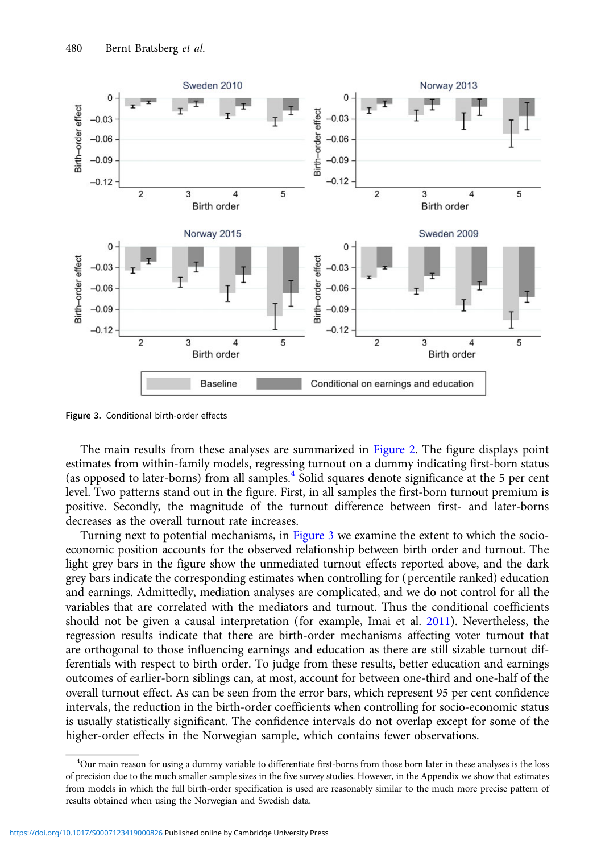

Figure 3. Conditional birth-order effects

The main results from these analyses are summarized in [Figure 2.](#page-4-0) The figure displays point estimates from within-family models, regressing turnout on a dummy indicating first-born status (as opposed to later-borns) from all samples.<sup>4</sup> Solid squares denote significance at the 5 per cent level. Two patterns stand out in the figure. First, in all samples the first-born turnout premium is positive. Secondly, the magnitude of the turnout difference between first- and later-borns decreases as the overall turnout rate increases.

Turning next to potential mechanisms, in Figure 3 we examine the extent to which the socioeconomic position accounts for the observed relationship between birth order and turnout. The light grey bars in the figure show the unmediated turnout effects reported above, and the dark grey bars indicate the corresponding estimates when controlling for (percentile ranked) education and earnings. Admittedly, mediation analyses are complicated, and we do not control for all the variables that are correlated with the mediators and turnout. Thus the conditional coefficients should not be given a causal interpretation (for example, Imai et al. [2011\)](#page-7-0). Nevertheless, the regression results indicate that there are birth-order mechanisms affecting voter turnout that are orthogonal to those influencing earnings and education as there are still sizable turnout differentials with respect to birth order. To judge from these results, better education and earnings outcomes of earlier-born siblings can, at most, account for between one-third and one-half of the overall turnout effect. As can be seen from the error bars, which represent 95 per cent confidence intervals, the reduction in the birth-order coefficients when controlling for socio-economic status is usually statistically significant. The confidence intervals do not overlap except for some of the higher-order effects in the Norwegian sample, which contains fewer observations.

<sup>4</sup> Our main reason for using a dummy variable to differentiate first-borns from those born later in these analyses is the loss of precision due to the much smaller sample sizes in the five survey studies. However, in the Appendix we show that estimates from models in which the full birth-order specification is used are reasonably similar to the much more precise pattern of results obtained when using the Norwegian and Swedish data.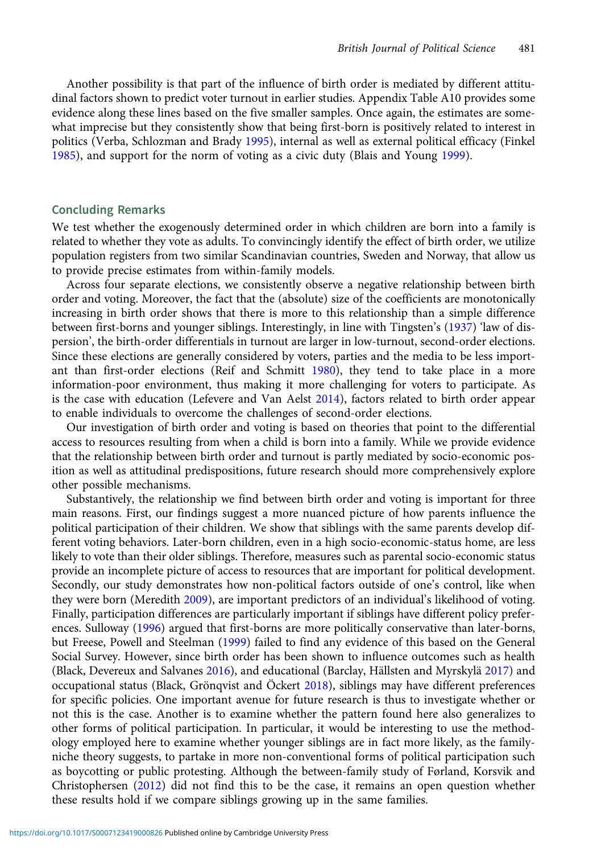Another possibility is that part of the influence of birth order is mediated by different attitudinal factors shown to predict voter turnout in earlier studies. Appendix Table A10 provides some evidence along these lines based on the five smaller samples. Once again, the estimates are somewhat imprecise but they consistently show that being first-born is positively related to interest in politics (Verba, Schlozman and Brady [1995\)](#page-7-0), internal as well as external political efficacy (Finkel [1985](#page-7-0)), and support for the norm of voting as a civic duty (Blais and Young [1999](#page-7-0)).

## Concluding Remarks

We test whether the exogenously determined order in which children are born into a family is related to whether they vote as adults. To convincingly identify the effect of birth order, we utilize population registers from two similar Scandinavian countries, Sweden and Norway, that allow us to provide precise estimates from within-family models.

Across four separate elections, we consistently observe a negative relationship between birth order and voting. Moreover, the fact that the (absolute) size of the coefficients are monotonically increasing in birth order shows that there is more to this relationship than a simple difference between first-borns and younger siblings. Interestingly, in line with Tingsten's [\(1937\)](#page-7-0) 'law of dispersion', the birth-order differentials in turnout are larger in low-turnout, second-order elections. Since these elections are generally considered by voters, parties and the media to be less important than first-order elections (Reif and Schmitt [1980](#page-7-0)), they tend to take place in a more information-poor environment, thus making it more challenging for voters to participate. As is the case with education (Lefevere and Van Aelst [2014\)](#page-7-0), factors related to birth order appear to enable individuals to overcome the challenges of second-order elections.

Our investigation of birth order and voting is based on theories that point to the differential access to resources resulting from when a child is born into a family. While we provide evidence that the relationship between birth order and turnout is partly mediated by socio-economic position as well as attitudinal predispositions, future research should more comprehensively explore other possible mechanisms.

Substantively, the relationship we find between birth order and voting is important for three main reasons. First, our findings suggest a more nuanced picture of how parents influence the political participation of their children. We show that siblings with the same parents develop different voting behaviors. Later-born children, even in a high socio-economic-status home, are less likely to vote than their older siblings. Therefore, measures such as parental socio-economic status provide an incomplete picture of access to resources that are important for political development. Secondly, our study demonstrates how non-political factors outside of one's control, like when they were born (Meredith [2009\)](#page-7-0), are important predictors of an individual's likelihood of voting. Finally, participation differences are particularly important if siblings have different policy prefer-ences. Sulloway [\(1996](#page-7-0)) argued that first-borns are more politically conservative than later-borns, but Freese, Powell and Steelman ([1999](#page-7-0)) failed to find any evidence of this based on the General Social Survey. However, since birth order has been shown to influence outcomes such as health (Black, Devereux and Salvanes [2016](#page-7-0)), and educational (Barclay, Hällsten and Myrskylä [2017\)](#page-7-0) and occupational status (Black, Grönqvist and Öckert [2018\)](#page-7-0), siblings may have different preferences for specific policies. One important avenue for future research is thus to investigate whether or not this is the case. Another is to examine whether the pattern found here also generalizes to other forms of political participation. In particular, it would be interesting to use the methodology employed here to examine whether younger siblings are in fact more likely, as the familyniche theory suggests, to partake in more non-conventional forms of political participation such as boycotting or public protesting. Although the between-family study of Førland, Korsvik and Christophersen ([2012\)](#page-7-0) did not find this to be the case, it remains an open question whether these results hold if we compare siblings growing up in the same families.